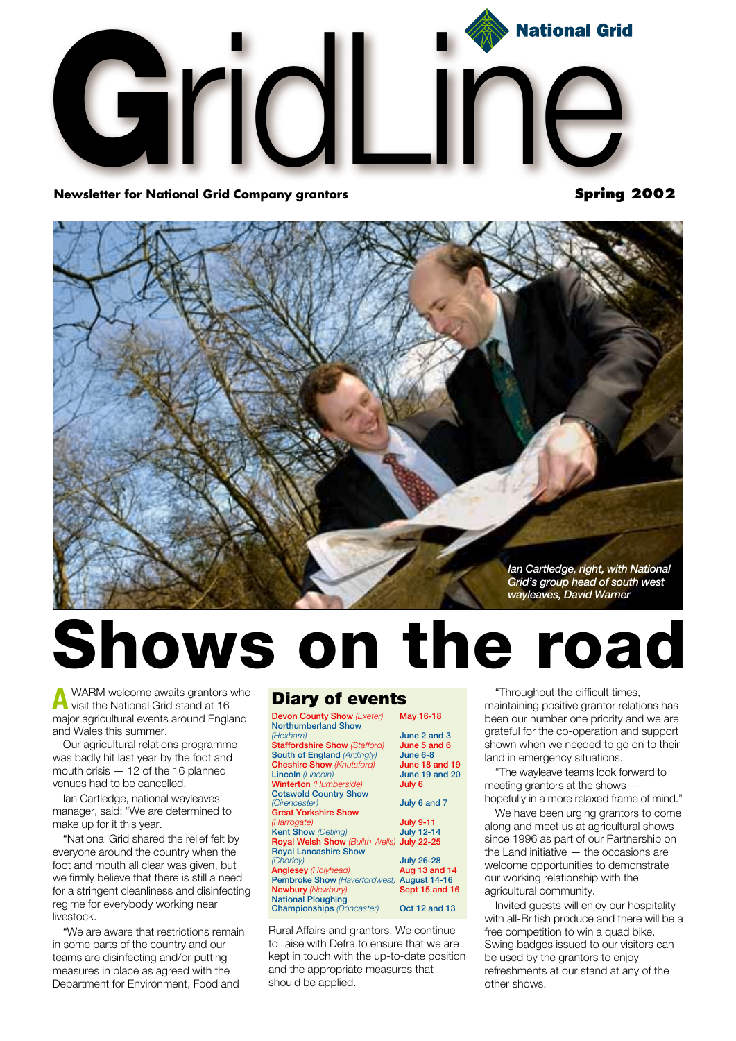

**Newsletter for National Grid Company grantors** 

**Spring 2002**



## **Shows on the road**

**A** WARM welcome awaits grantors who<br>visit the National Grid stand at 16 major agricultural events around England and Wales this summer.

Our agricultural relations programme was badly hit last year by the foot and mouth crisis — 12 of the 16 planned venues had to be cancelled.

Ian Cartledge, national wayleaves manager, said: "We are determined to make up for it this year.

"National Grid shared the relief felt by everyone around the country when the foot and mouth all clear was given, but we firmly believe that there is still a need for a stringent cleanliness and disinfecting regime for everybody working near livestock.

"We are aware that restrictions remain in some parts of the country and our teams are disinfecting and/or putting measures in place as agreed with the Department for Environment, Food and

### **Diary of events**

| <b>Devon County Show (Exeter)</b>          | May 16-18           |
|--------------------------------------------|---------------------|
| <b>Northumberland Show</b>                 |                     |
| (Hexham)                                   | June 2 and 3        |
| <b>Staffordshire Show (Stafford)</b>       | June 5 and 6        |
| South of England (Ardingly)                | June 6-8            |
| <b>Cheshire Show (Knutsford)</b>           | June 18 and 19      |
| <b>Lincoln</b> (Lincoln)                   | June 19 and 20      |
| <b>Winterton</b> (Humberside)              | July 6              |
| <b>Cotswold Country Show</b>               |                     |
| (Cirencester)                              | July 6 and 7        |
| <b>Great Yorkshire Show</b>                |                     |
| (Harrogate)                                | <b>July 9-11</b>    |
| <b>Kent Show (Detling)</b>                 | <b>July 12-14</b>   |
| Royal Welsh Show (Builth Wells) July 22-25 |                     |
| <b>Royal Lancashire Show</b>               |                     |
| (Chorley)                                  | <b>July 26-28</b>   |
| <b>Anglesey (Holyhead)</b>                 | Aug 13 and 14       |
| <b>Pembroke Show (Haverfordwest)</b>       | <b>August 14-16</b> |
| <b>Newbury (Newbury)</b>                   | Sept 15 and 16      |
| <b>National Ploughing</b>                  |                     |
| <b>Championships</b> (Doncaster)           | Oct 12 and 13       |
|                                            |                     |

Rural Affairs and grantors. We continue to liaise with Defra to ensure that we are kept in touch with the up-to-date position and the appropriate measures that should be applied.

"Throughout the difficult times, maintaining positive grantor relations has been our number one priority and we are grateful for the co-operation and support shown when we needed to go on to their

land in emergency situations. "The wayleave teams look forward to meeting grantors at the shows hopefully in a more relaxed frame of mind."

We have been urging grantors to come along and meet us at agricultural shows since 1996 as part of our Partnership on the Land initiative — the occasions are welcome opportunities to demonstrate our working relationship with the agricultural community.

Invited guests will enjoy our hospitality with all-British produce and there will be a free competition to win a quad bike. Swing badges issued to our visitors can be used by the grantors to enjoy refreshments at our stand at any of the other shows.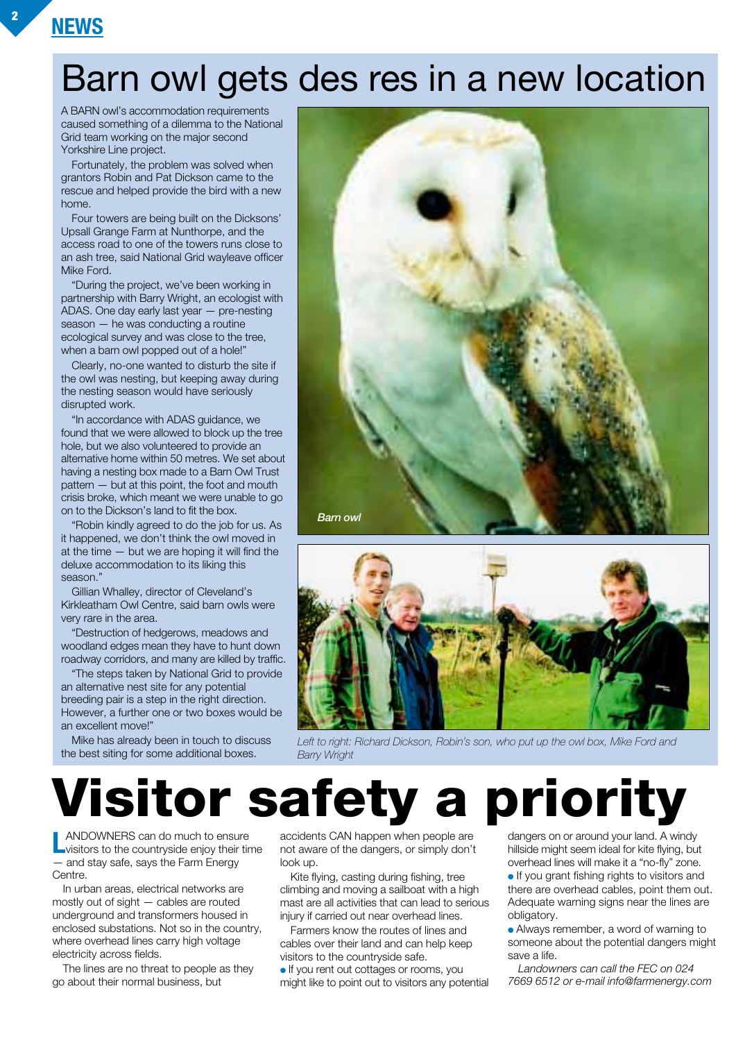## Barn owl gets des res in a new location

A BARN owl's accommodation requirements caused something of a dilemma to the National Grid team working on the major second Yorkshire Line project.

Fortunately, the problem was solved when grantors Robin and Pat Dickson came to the rescue and helped provide the bird with a new home.

Four towers are being built on the Dicksons' Upsall Grange Farm at Nunthorpe, and the access road to one of the towers runs close to an ash tree, said National Grid wayleave officer Mike Ford.

"During the project, we've been working in partnership with Barry Wright, an ecologist with ADAS. One day early last year — pre-nesting season — he was conducting a routine ecological survey and was close to the tree, when a barn owl popped out of a hole!"

Clearly, no-one wanted to disturb the site if the owl was nesting, but keeping away during the nesting season would have seriously disrupted work.

"In accordance with ADAS guidance, we found that we were allowed to block up the tree hole, but we also volunteered to provide an alternative home within 50 metres. We set about having a nesting box made to a Barn Owl Trust pattern — but at this point, the foot and mouth crisis broke, which meant we were unable to go on to the Dickson's land to fit the box.

"Robin kindly agreed to do the job for us. As it happened, we don't think the owl moved in at the time — but we are hoping it will find the deluxe accommodation to its liking this season."

Gillian Whalley, director of Cleveland's Kirkleatham Owl Centre, said barn owls were very rare in the area.

"Destruction of hedgerows, meadows and woodland edges mean they have to hunt down roadway corridors, and many are killed by traffic.

"The steps taken by National Grid to provide an alternative nest site for any potential breeding pair is a step in the right direction. However, a further one or two boxes would be an excellent move!"

Mike has already been in touch to discuss the best siting for some additional boxes.





Left to right: Richard Dickson, Robin's son, who put up the owl box, Mike Ford and *Barry Wright*

**Visitor safety a priority**

**LANDOWNERS can do much to ensure<br>
visitors to the countryside enjoy their time** — and stay safe, says the Farm Energy Centre.

In urban areas, electrical networks are mostly out of sight — cables are routed underground and transformers housed in enclosed substations. Not so in the country, where overhead lines carry high voltage electricity across fields.

The lines are no threat to people as they go about their normal business, but

accidents CAN happen when people are not aware of the dangers, or simply don't look up.

Kite flying, casting during fishing, tree climbing and moving a sailboat with a high mast are all activities that can lead to serious injury if carried out near overhead lines.

Farmers know the routes of lines and cables over their land and can help keep visitors to the countryside safe.

● If you rent out cottages or rooms, you might like to point out to visitors any potential dangers on or around your land. A windy hillside might seem ideal for kite flying, but overhead lines will make it a "no-fly" zone.

● If you grant fishing rights to visitors and there are overhead cables, point them out. Adequate warning signs near the lines are obligatory.

• Always remember, a word of warning to someone about the potential dangers might save a life.

*Landowners can call the FEC on 024 7669 6512 or e-mail info@farmenergy.com*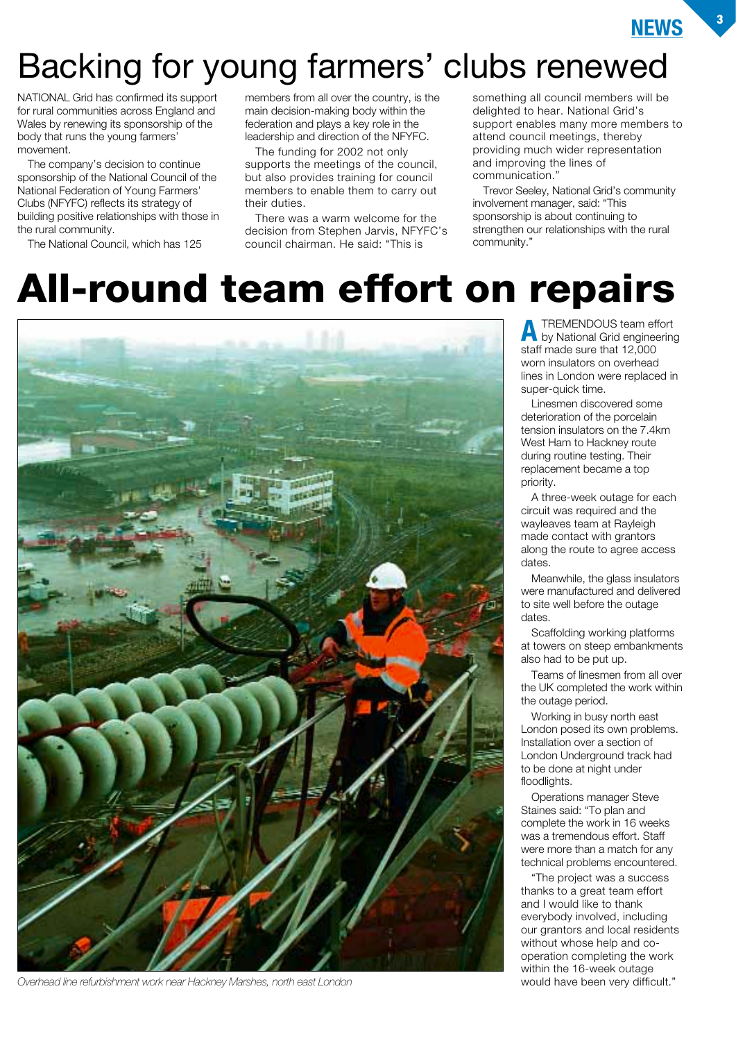

## Backing for young farmers' clubs renewed

NATIONAL Grid has confirmed its support for rural communities across England and Wales by renewing its sponsorship of the body that runs the young farmers' movement.

The company's decision to continue sponsorship of the National Council of the National Federation of Young Farmers' Clubs (NFYFC) reflects its strategy of building positive relationships with those in the rural community.

The National Council, which has 125

members from all over the country, is the main decision-making body within the federation and plays a key role in the leadership and direction of the NFYFC.

The funding for 2002 not only supports the meetings of the council, but also provides training for council members to enable them to carry out their duties.

There was a warm welcome for the decision from Stephen Jarvis, NFYFC's council chairman. He said: "This is

something all council members will be delighted to hear. National Grid's support enables many more members to attend council meetings, thereby providing much wider representation and improving the lines of communication."

Trevor Seeley, National Grid's community involvement manager, said: "This sponsorship is about continuing to strengthen our relationships with the rural community."

## **All-round team effort on repairs**



*Overhead line refurbishment work near Hackney Marshes, north east London*

**A** TREMENDOUS team effort by National Grid engineering staff made sure that 12,000 worn insulators on overhead lines in London were replaced in super-quick time.

Linesmen discovered some deterioration of the porcelain tension insulators on the 7.4km West Ham to Hackney route during routine testing. Their replacement became a top priority.

A three-week outage for each circuit was required and the wayleaves team at Rayleigh made contact with grantors along the route to agree access dates.

Meanwhile, the glass insulators were manufactured and delivered to site well before the outage dates.

Scaffolding working platforms at towers on steep embankments also had to be put up.

Teams of linesmen from all over the UK completed the work within the outage period.

Working in busy north east London posed its own problems. Installation over a section of London Underground track had to be done at night under floodlights.

Operations manager Steve Staines said: "To plan and complete the work in 16 weeks was a tremendous effort. Staff were more than a match for any technical problems encountered.

"The project was a success thanks to a great team effort and I would like to thank everybody involved, including our grantors and local residents without whose help and cooperation completing the work within the 16-week outage would have been very difficult."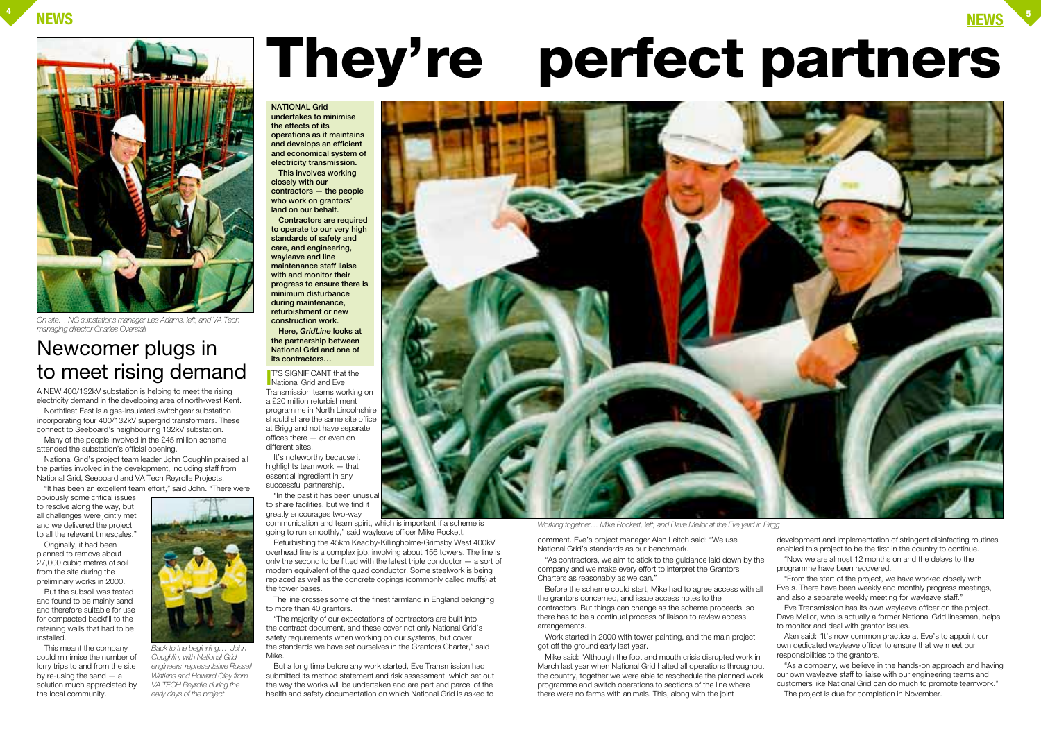

A NEW 400/132kV substation is helping to meet the rising electricity demand in the developing area of north-west Kent.

Northfleet East is a gas-insulated switchgear substation incorporating four 400/132kV supergrid transformers. These connect to Seeboard's neighbouring 132kV substation. Many of the people involved in the £45 million scheme

attended the substation's official opening.

National Grid's project team leader John Coughlin praised all the parties involved in the development, including staff from National Grid, Seeboard and VA Tech Reyrolle Projects.



obviously some critical issues to resolve along the way, but all challenges were jointly met and we delivered the project to all the relevant timescales."

**I I**<sup>T</sup>'S SIGNIFICANT that<br>
National Grid and Eve **T'S SIGNIFICANT that the** Transmission teams working on a £20 million refurbishment programme in North Lincolnshire should share the same site office at Brigg and not have separate offices there — or even on different sites.

Originally, it had been planned to remove about 27,000 cubic metres of soil from the site during the preliminary works in 2000.

But the subsoil was tested and found to be mainly sand and therefore suitable for use for compacted backfill to the retaining walls that had to be installed.

The line crosses some of the finest farmland in England belonging to more than 40 grantors.

This meant the company could minimise the number of lorry trips to and from the site by re-using the sand — a solution much appreciated by the local community.

It's noteworthy because it highlights teamwork — that essential ingredient in any successful partnership.

"In the past it has been unusual to share facilities, but we find it greatly encourages two-way communication and team spirit, which is important if a scheme is

going to run smoothly," said wayleave officer Mike Rockett, Refurbishing the 45km Keadby-Killingholme-Grimsby West 400kV

overhead line is a complex job, involving about 156 towers. The line is only the second to be fitted with the latest triple conductor — a sort of modern equivalent of the quad conductor. Some steelwork is being replaced as well as the concrete copings (commonly called muffs) at the tower bases.

"The majority of our expectations of contractors are built into the contract document, and these cover not only National Grid's safety requirements when working on our systems, but cover the standards we have set ourselves in the Grantors Charter," said Mike.

But a long time before any work started, Eve Transmission had submitted its method statement and risk assessment, which set out the way the works will be undertaken and are part and parcel of the health and safety documentation on which National Grid is asked to



**NATIONAL Grid undertakes to minimise the effects of its operations as it maintains and develops an efficient and economical system of electricity transmission.**

**This involves working closely with our contractors — the people who work on grantors' land on our behalf.**

**Contractors are required to operate to our very high standards of safety and care, and engineering, wayleave and line maintenance staff liaise with and monitor their progress to ensure there is minimum disturbance during maintenance, refurbishment or new construction work. Here,** *GridLine* **looks at the partnership between National Grid and one of its contractors…**

# **They're perfect partners**

comment. Eve's project manager Alan Leitch said: "We use National Grid's standards as our benchmark.

"As contractors, we aim to stick to the guidance laid down by the company and we make every effort to interpret the Grantors Charters as reasonably as we can."

Before the scheme could start, Mike had to agree access with all the grantors concerned, and issue access notes to the contractors. But things can change as the scheme proceeds, so there has to be a continual process of liaison to review access arrangements.

Work started in 2000 with tower painting, and the main project got off the ground early last year.

Mike said: "Although the foot and mouth crisis disrupted work in March last year when National Grid halted all operations throughout the country, together we were able to reschedule the planned work programme and switch operations to sections of the line where there were no farms with animals. This, along with the joint

development and implementation of stringent disinfecting routines enabled this project to be the first in the country to continue. "Now we are almost 12 months on and the delays to the programme have been recovered.

"From the start of the project, we have worked closely with Eve's. There have been weekly and monthly progress meetings, and also a separate weekly meeting for wayleave staff."

Eve Transmission has its own wayleave officer on the project. Dave Mellor, who is actually a former National Grid linesman, helps to monitor and deal with grantor issues.

Alan said: "It's now common practice at Eve's to appoint our own dedicated wayleave officer to ensure that we meet our responsibilities to the grantors.

"As a company, we believe in the hands-on approach and having our own wayleave staff to liaise with our engineering teams and customers like National Grid can do much to promote teamwork." The project is due for completion in November.

*Working together… Mike Rockett, left, and Dave Mellor at the Eve yard in Brigg*

*Back to the beginning… John Coughlin, with National Grid engineers' representative Russell Watkins and Howard Oley from VA TECH Reyrolle during the early days of the project*

### Newcomer plugs in to meet rising demand



*On site… NG substations manager Les Adams, left, and VA Tech managing director Charles Overstall*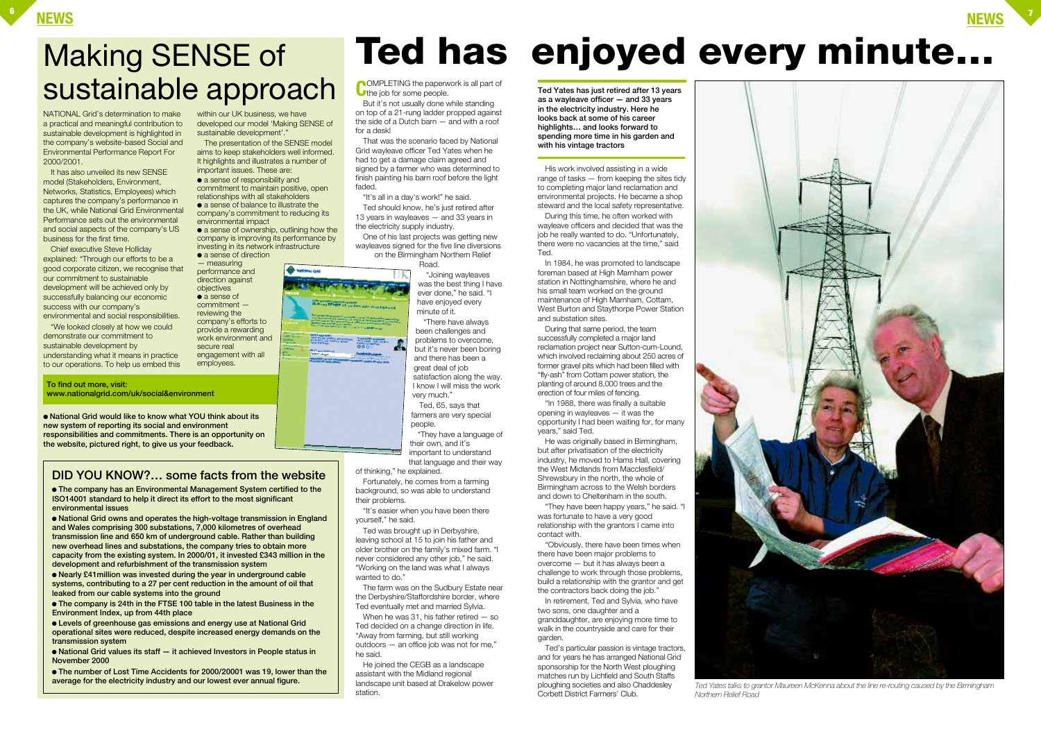### **NEWS <sup>6</sup>**

NATIONAL Grid's determination to make a practical and meaningful contribution to sustainable development is highlighted in the company's website-based Social and Environmental Performance Report For 2000/2001.

It has also unveiled its new SENSE model (Stakeholders, Environment, Networks, Statistics, Employees) which captures the company's performance in the UK, while National Grid Environmental Performance sets out the environmental and social aspects of the company's US business for the first time.

within our UK business, we have developed our model 'Making SENSE of

Chief executive Steve Holliday explained: "Through our efforts to be a good corporate citizen, we recognise that our commitment to sustainable development will be achieved only by successfully balancing our economic success with our company's environmental and social responsibilities.

● a sense of ownership, outlining how the company is improving its performance by investing in its network infrastructure

sustainable development'.'

● a sense of direction — measuring performance and direction against objectives ● a sense of commitment reviewing the company's efforts to provide a rewarding work environment and

"We looked closely at how we could demonstrate our commitment to sustainable development by understanding what it means in practice to our operations. To help us embed this

The presentation of the SENSE model aims to keep stakeholders well informed. It highlights and illustrates a number of

important issues. These are: ● a sense of responsibility and commitment to maintain positive, open relationships with all stakeholders ● a sense of balance to illustrate the company's commitment to reducing its

environmental impact

Ted was brought up in Derbyshire, leaving school at 15 to join his father and older brother on the family's mixed farm. "I never considered any other job," he said. "Working on the land was what I always wanted to do."

secure real engagement with all employees.

But it's not usually done while standing on top of a 21-rung ladder propped against the side of a Dutch barn — and with a roof for a desk!

That was the scenario faced by National Grid wayleave officer Ted Yates when he had to get a damage claim agreed and signed by a farmer who was determined to finish painting his barn roof before the light faded.

"It's all in a day's work!" he said. Ted should know, he's just retired after

13 years in wayleaves — and 33 years in the electricity supply industry. One of his last projects was getting new

wayleaves signed for the five line diversions on the Birmingham Northern Relief Road.

> "Joining wayleaves was the best thing I have ever done," he said. "I have enjoyed every minute of it.

"There have always been challenges and problems to overcome, but it's never been boring and there has been a great deal of job satisfaction along the way. I know I will miss the work very much." Ted, 65, says that

farmers are very special people. "They have a language of

their own, and it's important to understand that language and their way

of thinking," he explained.

Fortunately, he comes from a farming background, so was able to understand their problems.



"It's easier when you have been there yourself," he said.

The farm was on the Sudbury Estate near the Derbyshire/Staffordshire border, where Ted eventually met and married Sylvia.

When he was 31, his father retired — so Ted decided on a change direction in life. "Away from farming, but still working outdoors — an office job was not for me," he said.

He joined the CEGB as a landscape assistant with the Midland regional landscape unit based at Drakelow power station.

● **National Grid would like to know what YOU think about its new system of reporting its social and environment responsibilities and commitments. There is an opportunity on the website, pictured right, to give us your feedback.**

His work involved assisting in a wide range of tasks — from keeping the sites tidy to completing major land reclamation and environmental projects. He became a shop steward and the local safety representative.

During this time, he often worked with wayleave officers and decided that was the job he really wanted to do. "Unfortunately, there were no vacancies at the time," said Ted.

In 1984, he was promoted to landscape foreman based at High Marnham power station in Nottinghamshire, where he and his small team worked on the ground maintenance of High Marnham, Cottam, West Burton and Staythorpe Power Station and substation sites.

During that same period, the team successfully completed a major land reclamation project near Sutton-cum-Lound, which involved reclaiming about 250 acres of former gravel pits which had been filled with "fly-ash" from Cottam power station, the planting of around 8,000 trees and the erection of four miles of fencing.

"In 1988, there was finally a suitable opening in wayleaves — it was the opportunity I had been waiting for, for many years," said Ted.

He was originally based in Birmingham, but after privatisation of the electricity industry, he moved to Hams Hall, covering the West Midlands from Macclesfield/ Shrewsbury in the north, the whole of Birmingham across to the Welsh borders and down to Cheltenham in the south.

"They have been happy years," he said. "I was fortunate to have a very good relationship with the grantors I came into contact with.

"Obviously, there have been times when there have been major problems to overcome — but it has always been a challenge to work through those problems, build a relationship with the grantor and get the contractors back doing the job."

In retirement, Ted and Sylvia, who have two sons, one daughter and a granddaughter, are enjoying more time to walk in the countryside and care for their garden.

Ted's particular passion is vintage tractors, and for years he has arranged National Grid sponsorship for the North West ploughing matches run by Lichfield and South Staffs ploughing societies and also Chaddesley Corbett District Farmers' Club.

**Ted Yates has just retired after 13 years as a wayleave officer — and 33 years in the electricity industry. Here he looks back at some of his career highlights… and looks forward to spending more time in his garden and with his vintage tractors**



*Ted Yates talks to grantor Maureen McKenna about the line re-routing caused by the Birmingham*

*Northern Relief Road*



## Making SENSE of sustainable approach

**To find out more, visit: www.nationalgrid.com/uk/social&environment**

### **DID YOU KNOW?… some facts from the website**

● **The company has an Environmental Management System certified to the ISO14001 standard to help it direct its effort to the most significant environmental issues**

● **National Grid owns and operates the high-voltage transmission in England and Wales comprising 300 substations, 7,000 kilometres of overhead transmission line and 650 km of underground cable. Rather than building new overhead lines and substations, the company tries to obtain more capacity from the existing system. In 2000/01, it invested £343 million in the development and refurbishment of the transmission system**

● **Nearly £41million was invested during the year in underground cable systems, contributing to a 27 per cent reduction in the amount of oil that leaked from our cable systems into the ground**

● **The company is 24th in the FTSE 100 table in the latest Business in the Environment Index, up from 44th place**

● **Levels of greenhouse gas emissions and energy use at National Grid operational sites were reduced, despite increased energy demands on the transmission system**

● **National Grid values its staff — it achieved Investors in People status in November 2000**

● **The number of Lost Time Accidents for 2000/20001 was 19, lower than the average for the electricity industry and our lowest ever annual figure.**

**COMPLETING the paperwork is all part of** the job for some people.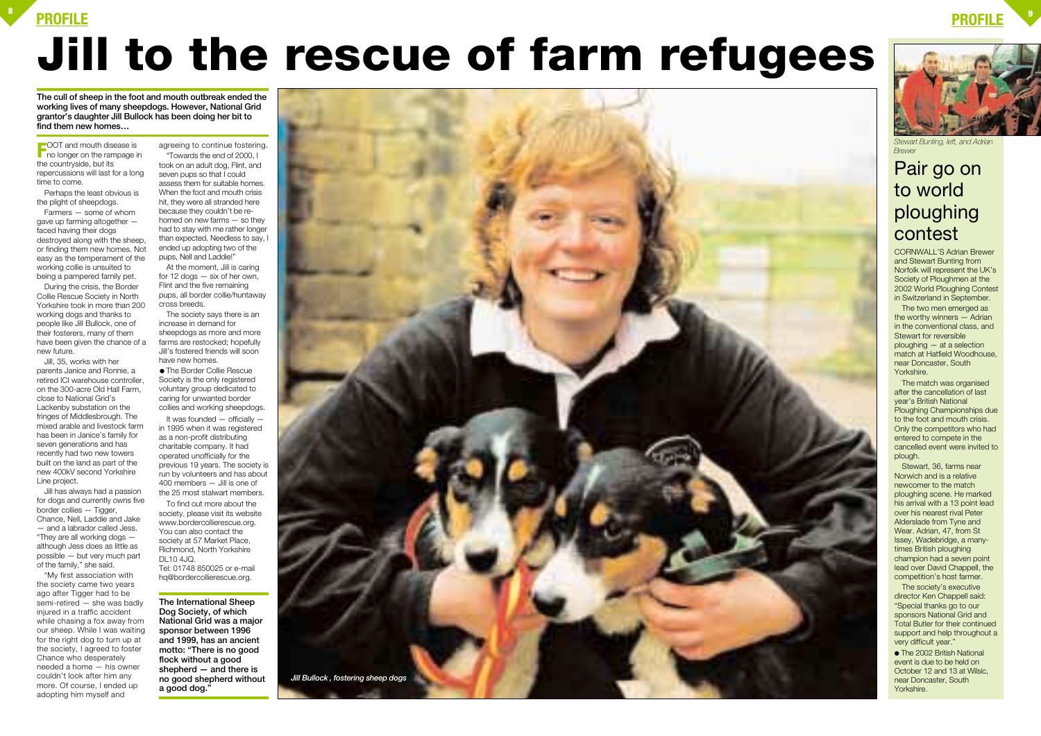### **PROFILE <sup>8</sup>**







## **Jill to the rescue of farm refugees**

**FFOOT** and mouth disease is<br>no longer on the rampage in the countryside, but its repercussions will last for a long time to come.

Perhaps the least obvious is the plight of sheepdogs.

Farmers — some of whom gave up farming altogether faced having their dogs destroyed along with the sheep, or finding them new homes. Not easy as the temperament of the working collie is unsuited to being a pampered family pet.

During the crisis, the Border Collie Rescue Society in North Yorkshire took in more than 200 working dogs and thanks to people like Jill Bullock, one of their fosterers, many of them have been given the chance of a new future.

Jill, 35, works with her parents Janice and Ronnie, a retired ICI warehouse controller, on the 300-acre Old Hall Farm, close to National Grid's Lackenby substation on the fringes of Middlesbrough. The mixed arable and livestock farm has been in Janice's family for seven generations and has recently had two new towers built on the land as part of the new 400kV second Yorkshire Line project.

Jill has always had a passion for dogs and currently owns five border collies — Tigger, Chance, Nell, Laddie and Jake — and a labrador called Jess. "They are all working dogs although Jess does as little as possible — but very much part of the family," she said.

It was founded  $-$  officially  $$ in 1995 when it was registered as a non-profit distributing charitable company. It had operated unofficially for the previous 19 years. The society is run by volunteers and has about 400 members — Jill is one of the 25 most stalwart members.

"My first association with the society came two years ago after Tigger had to be semi-retired — she was badly injured in a traffic accident while chasing a fox away from our sheep. While I was waiting for the right dog to turn up at the society, I agreed to foster Chance who desperately needed a home — his owner couldn't look after him any more. Of course, I ended up adopting him myself and

agreeing to continue fostering. "Towards the end of 2000, I

> The match was organised after the cancellation of last year's British National Ploughing Championships due to the foot and mouth crisis. Only the competitors who had entered to compete in the cancelled event were invited to plough.

took on an adult dog, Flint, and seven pups so that I could assess them for suitable homes. When the foot and mouth crisis hit, they were all stranded here because they couldn't be rehomed on new farms — so they had to stay with me rather longer than expected. Needless to say, I ended up adopting two of the pups, Nell and Laddie!"

> ● The 2002 British National event is due to be held on October 12 and 13 at Wilsic, near Doncaster, South Yorkshire.

At the moment, Jill is caring for 12 dogs  $-$  six of her own. Flint and the five remaining pups, all border collie/huntaway cross breeds.

The society says there is an increase in demand for sheepdogs as more and more farms are restocked; hopefully Jill's fostered friends will soon have new homes.

● The Border Collie Rescue Society is the only registered voluntary group dedicated to caring for unwanted border collies and working sheepdogs.

To find out more about the society, please visit its website www.bordercollierescue.org. You can also contact the society at 57 Market Place, Richmond, North Yorkshire DL10 4JQ. Tel: 01748 850025 or e-mail hq@bordercollierescue.org.

CORNWALL'S Adrian Brewer and Stewart Bunting from Norfolk will represent the UK's Society of Ploughmen at the 2002 World Ploughing Contest in Switzerland in September.

The two men emerged as the worthy winners — Adrian in the conventional class, and Stewart for reversible ploughing — at a selection match at Hatfield Woodhouse, near Doncaster, South Yorkshire.

Stewart, 36, farms near Norwich and is a relative newcomer to the match ploughing scene. He marked his arrival with a 13 point lead over his nearest rival Peter Alderslade from Tyne and Wear. Adrian, 47, from St Issey, Wadebridge, a manytimes British ploughing champion had a seven point lead over David Chappell, the competition's host farmer.

The society's executive director Ken Chappell said: "Special thanks go to our sponsors National Grid and Total Butler for their continued support and help throughout a very difficult year."

### Pair go on to world ploughing contest



*Stewart Bunting, left, and Adrian Brewer* 

**The cull of sheep in the foot and mouth outbreak ended the working lives of many sheepdogs. However, National Grid grantor's daughter Jill Bullock has been doing her bit to find them new homes…**

> **The International Sheep Dog Society, of which National Grid was a major sponsor between 1996 and 1999, has an ancient motto: "There is no good flock without a good shepherd — and there is no good shepherd without a good dog."**

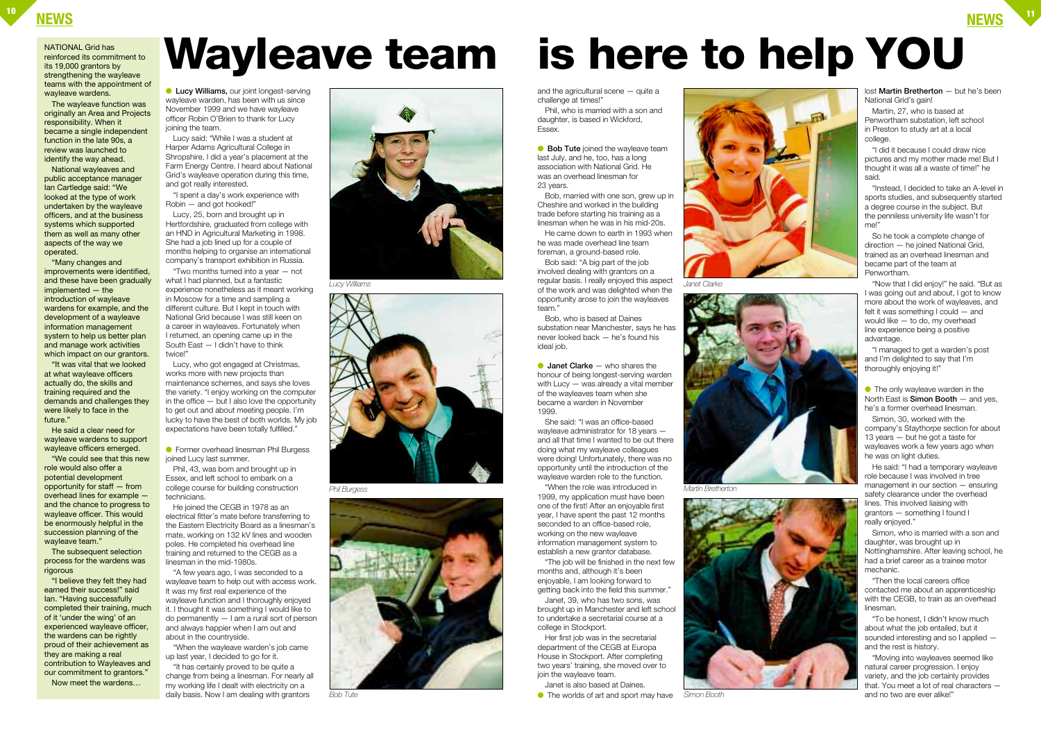### **NEWS <sup>10</sup> NEWS <sup>11</sup>**

● **Lucy Williams,** our joint longest-serving wayleave warden, has been with us since November 1999 and we have wayleave officer Robin O'Brien to thank for Lucy joining the team.

Lucy said: "While I was a student at Harper Adams Agricultural College in Shropshire, I did a year's placement at the Farm Energy Centre. I heard about National Grid's wayleave operation during this time, and got really interested.

"I spent a day's work experience with Robin — and got hooked!"

Lucy, 25, born and brought up in Hertfordshire, graduated from college with an HND in Agricultural Marketing in 1998. She had a job lined up for a couple of months helping to organise an international company's transport exhibition in Russia.

● Former overhead linesman Phil Burgess joined Lucy last summer.

"Two months turned into a year — not what I had planned, but a fantastic experience nonetheless as it meant working in Moscow for a time and sampling a different culture. But I kept in touch with National Grid because I was still keen on a career in wayleaves. Fortunately when I returned, an opening came up in the South East — I didn't have to think twice!"

and the agricultural scene — quite a challenge at times!"

Lucy, who got engaged at Christmas, works more with new projects than maintenance schemes, and says she loves the variety. "I enjoy working on the computer in the office — but I also love the opportunity to get out and about meeting people. I'm lucky to have the best of both worlds. My job expectations have been totally fulfilled."

**• Bob Tute** joined the wayleave team last July, and he, too, has a long association with National Grid. He was an overhead linesman for 23 years.

Phil, 43, was born and brought up in Essex, and left school to embark on a college course for building construction technicians.

**Janet Clarke** — who shares the honour of being longest-serving warden with Lucy — was already a vital member of the wayleaves team when she became a warden in November 1999.

He joined the CEGB in 1978 as an electrical fitter's mate before transferring to the Eastern Electricity Board as a linesman's mate, working on 132 kV lines and wooden poles. He completed his overhead line training and returned to the CEGB as a linesman in the mid-1980s.

"A few years ago, I was seconded to a wayleave team to help out with access work. It was my first real experience of the wayleave function and I thoroughly enjoyed it. I thought it was something I would like to do permanently — I am a rural sort of person and always happier when I am out and about in the countryside.

"When the wayleave warden's job came up last year, I decided to go for it.

lost **Martin Bretherton** — but he's been National Grid's gain!

"It has certainly proved to be quite a change from being a linesman. For nearly all my working life I dealt with electricity on a daily basis. Now I am dealing with grantors

Phil, who is married with a son and daughter, is based in Wickford, Essex.

> $\bullet$  The only wayleave warden in the North East is **Simon Booth** — and yes, he's a former overhead linesman.

Bob, married with one son, grew up in Cheshire and worked in the building trade before starting his training as a linesman when he was in his mid-20s.

He came down to earth in 1993 when he was made overhead line team foreman, a ground-based role.

Bob said: "A big part of the job involved dealing with grantors on a regular basis. I really enjoyed this aspect of the work and was delighted when the opportunity arose to join the wayleaves team."

Bob, who is based at Daines substation near Manchester, says he has never looked back — he's found his ideal job.

She said: "I was an office-based wayleave administrator for 18 years and all that time I wanted to be out there doing what my wayleave colleagues were doing! Unfortunately, there was no opportunity until the introduction of the wayleave warden role to the function.

"When the role was introduced in 1999, my application must have been one of the first! After an enjoyable first year, I have spent the past 12 months seconded to an office-based role, working on the new wayleave information management system to establish a new grantor database.

The subsequent selection process for the wardens was rigorous

"The job will be finished in the next few months and, although it's been enjoyable, I am looking forward to getting back into the field this summer."

Janet, 39, who has two sons, was brought up in Manchester and left school to undertake a secretarial course at a college in Stockport.

Her first job was in the secretarial department of the CEGB at Europa House in Stockport. After completing two years' training, she moved over to join the wayleave team. Janet is also based at Daines.

● The worlds of art and sport may have

Martin, 27, who is based at Penwortham substation, left school in Preston to study art at a local college.

"I did it because I could draw nice pictures and my mother made me! But I thought it was all a waste of time!" he said.

"Instead, I decided to take an A-level in sports studies, and subsequently started a degree course in the subject. But the penniless university life wasn't for me!"

So he took a complete change of direction — he joined National Grid, trained as an overhead linesman and became part of the team at Penwortham.

"Now that I did enjoy!" he said. "But as I was going out and about, I got to know more about the work of wayleaves, and felt it was something I could — and would like — to do, my overhead line experience being a positive advantage.

"I managed to get a warden's post and I'm delighted to say that I'm thoroughly enjoying it!"

Simon, 30, worked with the company's Staythorpe section for about 13 years — but he got a taste for wayleaves work a few years ago when he was on light duties.

He said: "I had a temporary wayleave role because I was involved in tree management in our section — ensuring safety clearance under the overhead lines. This involved liaising with grantors — something I found I really enjoyed."

Simon, who is married with a son and daughter, was brought up in Nottinghamshire. After leaving school, he had a brief career as a trainee motor mechanic.

"Then the local careers office contacted me about an apprenticeship with the CEGB, to train as an overhead linesman.

"To be honest, I didn't know much about what the job entailed, but it sounded interesting and so I applied and the rest is history.

"Moving into wayleaves seemed like natural career progression. I enjoy variety, and the job certainly provides that. You meet a lot of real characters and no two are ever alike!"

### NATIONAL Grid has reinforced its commitment to its 19,000 grantors by strengthening the wayleave teams with the appointment of wayleave wardens.

The wayleave function was originally an Area and Projects responsibility. When it became a single independent function in the late 90s, a review was launched to identify the way ahead.

National wayleaves and public acceptance manager Ian Cartledge said: "We looked at the type of work undertaken by the wayleave officers, and at the business systems which supported them as well as many other aspects of the way we operated.

"Many changes and improvements were identified, and these have been gradually implemented — the introduction of wayleave wardens for example, and the development of a wayleave information management system to help us better plan and manage work activities which impact on our grantors.

"It was vital that we looked at what wayleave officers actually do, the skills and training required and the demands and challenges they were likely to face in the future."

He said a clear need for wayleave wardens to support wayleave officers emerged.

"We could see that this new role would also offer a potential development opportunity for staff — from overhead lines for example and the chance to progress to wayleave officer. This would be enormously helpful in the succession planning of the wayleave team."

"I believe they felt they had earned their success!" said Ian. "Having successfully completed their training, much of it 'under the wing' of an experienced wayleave officer, the wardens can be rightly proud of their achievement as they are making a real contribution to Wayleaves and our commitment to grantors." Now meet the wardens…

## **Wayleave team is here to help YOU**



*Lucy Williams*



*Phil Burgess*



*Bob Tute*



*Janet Clarke*



*Martin Bretherton*



*Simon Booth*

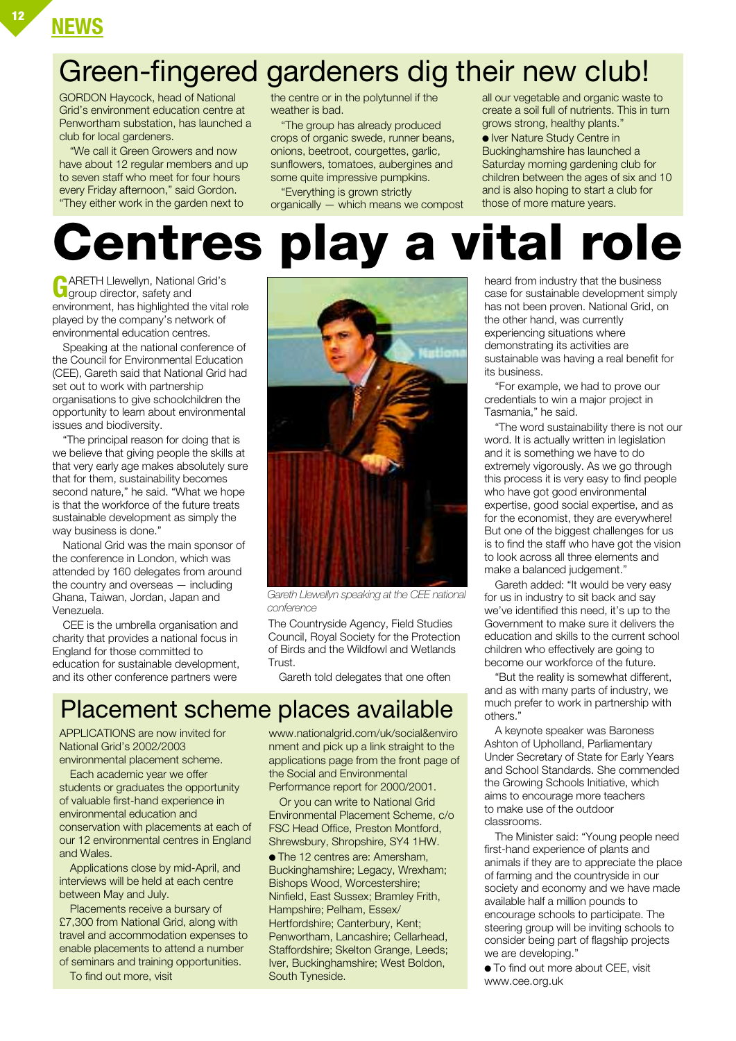### **NEWS <sup>12</sup>**

### Green-fingered gardeners dig their new club!

GORDON Haycock, head of National Grid's environment education centre at Penwortham substation, has launched a club for local gardeners.

"We call it Green Growers and now have about 12 regular members and up to seven staff who meet for four hours every Friday afternoon," said Gordon. "They either work in the garden next to

the centre or in the polytunnel if the weather is bad.

"The group has already produced crops of organic swede, runner beans, onions, beetroot, courgettes, garlic, sunflowers, tomatoes, aubergines and some quite impressive pumpkins.

"Everything is grown strictly organically — which means we compost all our vegetable and organic waste to create a soil full of nutrients. This in turn grows strong, healthy plants." ● Iver Nature Study Centre in Buckinghamshire has launched a Saturday morning gardening club for children between the ages of six and 10 and is also hoping to start a club for those of more mature years.

## **Centres play a vital role**

**G**ARETH Llewellyn, National Grid's group director, safety and environment, has highlighted the vital role played by the company's network of environmental education centres.

Speaking at the national conference of the Council for Environmental Education (CEE), Gareth said that National Grid had set out to work with partnership organisations to give schoolchildren the opportunity to learn about environmental issues and biodiversity.

"The principal reason for doing that is we believe that giving people the skills at that very early age makes absolutely sure that for them, sustainability becomes second nature," he said. "What we hope is that the workforce of the future treats sustainable development as simply the way business is done."

National Grid was the main sponsor of the conference in London, which was attended by 160 delegates from around the country and overseas — including Ghana, Taiwan, Jordan, Japan and Venezuela.

CEE is the umbrella organisation and charity that provides a national focus in England for those committed to education for sustainable development, and its other conference partners were



*Gareth Llewellyn speaking at the CEE national conference*

The Countryside Agency, Field Studies Council, Royal Society for the Protection of Birds and the Wildfowl and Wetlands Trust.

Gareth told delegates that one often

### Placement scheme places available

APPLICATIONS are now invited for National Grid's 2002/2003 environmental placement scheme.

Each academic year we offer students or graduates the opportunity of valuable first-hand experience in environmental education and conservation with placements at each of our 12 environmental centres in England and Wales.

Applications close by mid-April, and interviews will be held at each centre between May and July.

Placements receive a bursary of £7,300 from National Grid, along with travel and accommodation expenses to enable placements to attend a number of seminars and training opportunities.

To find out more, visit

www.nationalgrid.com/uk/social&enviro nment and pick up a link straight to the applications page from the front page of the Social and Environmental Performance report for 2000/2001.

Or you can write to National Grid Environmental Placement Scheme, c/o FSC Head Office, Preston Montford, Shrewsbury, Shropshire, SY4 1HW.

● The 12 centres are: Amersham, Buckinghamshire; Legacy, Wrexham; Bishops Wood, Worcestershire; Ninfield, East Sussex; Bramley Frith, Hampshire; Pelham, Essex/ Hertfordshire; Canterbury, Kent; Penwortham, Lancashire; Cellarhead, Staffordshire; Skelton Grange, Leeds; Iver, Buckinghamshire; West Boldon, South Tyneside.

heard from industry that the business case for sustainable development simply has not been proven. National Grid, on the other hand, was currently experiencing situations where demonstrating its activities are sustainable was having a real benefit for its business.

"For example, we had to prove our credentials to win a major project in Tasmania," he said.

"The word sustainability there is not our word. It is actually written in legislation and it is something we have to do extremely vigorously. As we go through this process it is very easy to find people who have got good environmental expertise, good social expertise, and as for the economist, they are everywhere! But one of the biggest challenges for us is to find the staff who have got the vision to look across all three elements and make a balanced judgement."

Gareth added: "It would be very easy for us in industry to sit back and say we've identified this need, it's up to the Government to make sure it delivers the education and skills to the current school children who effectively are going to become our workforce of the future.

"But the reality is somewhat different, and as with many parts of industry, we much prefer to work in partnership with others."

A keynote speaker was Baroness Ashton of Upholland, Parliamentary Under Secretary of State for Early Years and School Standards. She commended the Growing Schools Initiative, which aims to encourage more teachers to make use of the outdoor classrooms.

The Minister said: "Young people need first-hand experience of plants and animals if they are to appreciate the place of farming and the countryside in our society and economy and we have made available half a million pounds to encourage schools to participate. The steering group will be inviting schools to consider being part of flagship projects we are developing."

● To find out more about CEE, visit www.cee.org.uk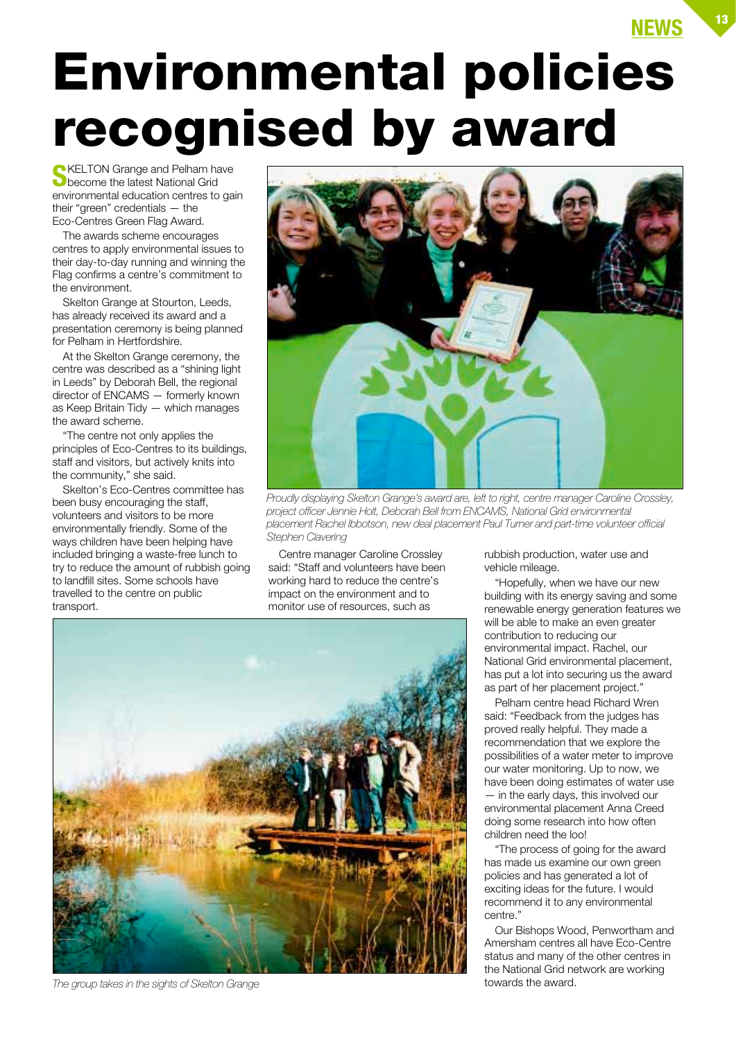## **Environmental policies recognised by award**

**S**KELTON Grange and Pelham have become the latest National Grid environmental education centres to gain their "green" credentials — the Eco-Centres Green Flag Award.

The awards scheme encourages centres to apply environmental issues to their day-to-day running and winning the Flag confirms a centre's commitment to the environment.

Skelton Grange at Stourton, Leeds, has already received its award and a presentation ceremony is being planned for Pelham in Hertfordshire.

At the Skelton Grange ceremony, the centre was described as a "shining light in Leeds" by Deborah Bell, the regional director of ENCAMS — formerly known as Keep Britain Tidy — which manages the award scheme.

"The centre not only applies the principles of Eco-Centres to its buildings, staff and visitors, but actively knits into the community," she said.

Skelton's Eco-Centres committee has been busy encouraging the staff, volunteers and visitors to be more environmentally friendly. Some of the ways children have been helping have included bringing a waste-free lunch to try to reduce the amount of rubbish going to landfill sites. Some schools have travelled to the centre on public transport.



*Proudly displaying Skelton Grange's award are, left to right, centre manager Caroline Crossley, project officer Jennie Holt, Deborah Bell from ENCAMS, National Grid environmental placement Rachel Ibbotson, new deal placement Paul Turner and part-time volunteer official Stephen Clavering*

Centre manager Caroline Crossley said: "Staff and volunteers have been working hard to reduce the centre's impact on the environment and to monitor use of resources, such as

rubbish production, water use and vehicle mileage.

"Hopefully, when we have our new building with its energy saving and some renewable energy generation features we will be able to make an even greater contribution to reducing our environmental impact. Rachel, our National Grid environmental placement, has put a lot into securing us the award as part of her placement project."

Pelham centre head Richard Wren said: "Feedback from the judges has proved really helpful. They made a recommendation that we explore the possibilities of a water meter to improve our water monitoring. Up to now, we have been doing estimates of water use in the early days, this involved our environmental placement Anna Creed doing some research into how often children need the loo!

"The process of going for the award has made us examine our own green policies and has generated a lot of exciting ideas for the future. I would recommend it to any environmental centre."

Our Bishops Wood, Penwortham and Amersham centres all have Eco-Centre status and many of the other centres in the National Grid network are working towards the award.



*The group takes in the sights of Skelton Grange*

**NEWS <sup>13</sup>**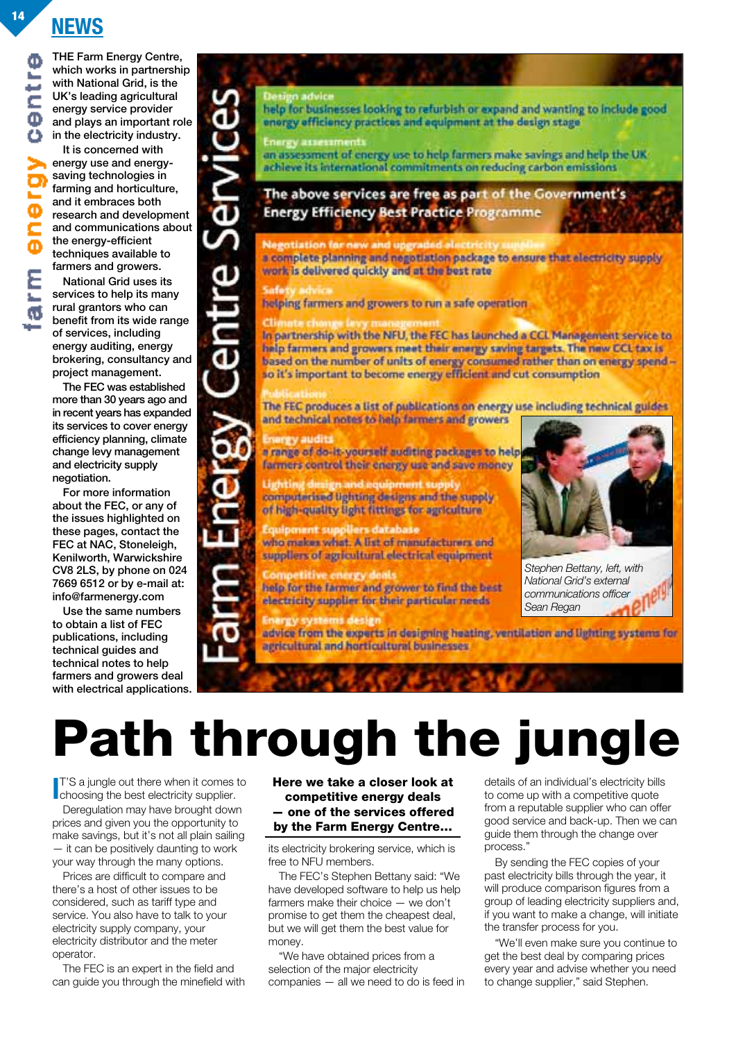### **NEWS <sup>14</sup>**

**THE Farm Energy Centre, which works in partnership with National Grid, is the UK's leading agricultural energy service provider and plays an important role in the electricity industry.** 

**It is concerned with energy use and energysaving technologies in farming and horticulture, and it embraces both research and development and communications about the energy-efficient techniques available to farmers and growers.**

**National Grid uses its services to help its many rural grantors who can benefit from its wide range of services, including energy auditing, energy brokering, consultancy and project management.**

**The FEC was established more than 30 years ago and in recent years has expanded its services to cover energy efficiency planning, climate change levy management and electricity supply negotiation.**

**For more information about the FEC, or any of the issues highlighted on these pages, contact the FEC at NAC, Stoneleigh, Kenilworth, Warwickshire CV8 2LS, by phone on 024 7669 6512 or by e-mail at: info@farmenergy.com**

**Use the same numbers to obtain a list of FEC publications, including technical guides and technical notes to help farmers and growers deal with electrical applications.**

help for businesses looking to refurbish or expand and wanting to include good energy efficiency practices and equipment at the design stage

Energy assessment

an assessment of energy use to help farmers make savings and help the UK achieve its international commitments on reducing carbon emissions

The above services are free as part of the Government's **Energy Efficiency Best Practice Programme** 

### Negotiation for new and upgraded elect

a complete planning and negotiation package to ensure that electricity supply work is delivered quickly and at the best rate

**Centre Ser** 

helping farmers and growers to run a safe operation

In partnership with the NFU, the FEC has launched a CCL Management service to help farmers and growers meet their energy saving targets. The new CCL tax is based on the number of units of energy consumed rather than on energy spendso it's important to become energy efficient and cut consumption

The FEC produces a list of publications on energy use including technical guides and technical notes to help farmers and growers

#### Energy audits

a range of do-it-yourself auditing packages to help farmers control their energy use and save money

design and equipment so computerised lighting designs and the supply of high-quality light fittings for agriculture

**Equipment suppliers database** who makes what. A list of manufacturers and suppliers of agricultural electrical equipment

**Competitive energy deals** help for the farmer and grower to find the best electricity supplier for their particular needs

**Energy systems design** advice from the experts in designing heating, ventilation and lighting systems for agricultural and horticultural businesses

*Stephen Bettany, left, with National Grid's external communications officer Sean Regan*

**Path through the jungle**

**I**T'S a jungle out there when it comes<br>choosing the best electricity supplier. T'S a jungle out there when it comes to

Deregulation may have brought down prices and given you the opportunity to make savings, but it's not all plain sailing — it can be positively daunting to work your way through the many options.

Prices are difficult to compare and there's a host of other issues to be considered, such as tariff type and service. You also have to talk to your electricity supply company, your electricity distributor and the meter operator.

The FEC is an expert in the field and can guide you through the minefield with **Here we take a closer look at competitive energy deals — one of the services offered by the Farm Energy Centre…**

its electricity brokering service, which is free to NFU members.

The FEC's Stephen Bettany said: "We have developed software to help us help farmers make their choice — we don't promise to get them the cheapest deal, but we will get them the best value for money.

"We have obtained prices from a selection of the major electricity companies — all we need to do is feed in details of an individual's electricity bills to come up with a competitive quote from a reputable supplier who can offer good service and back-up. Then we can guide them through the change over process."

By sending the FEC copies of your past electricity bills through the year, it will produce comparison figures from a group of leading electricity suppliers and, if you want to make a change, will initiate the transfer process for you.

"We'll even make sure you continue to get the best deal by comparing prices every year and advise whether you need to change supplier," said Stephen.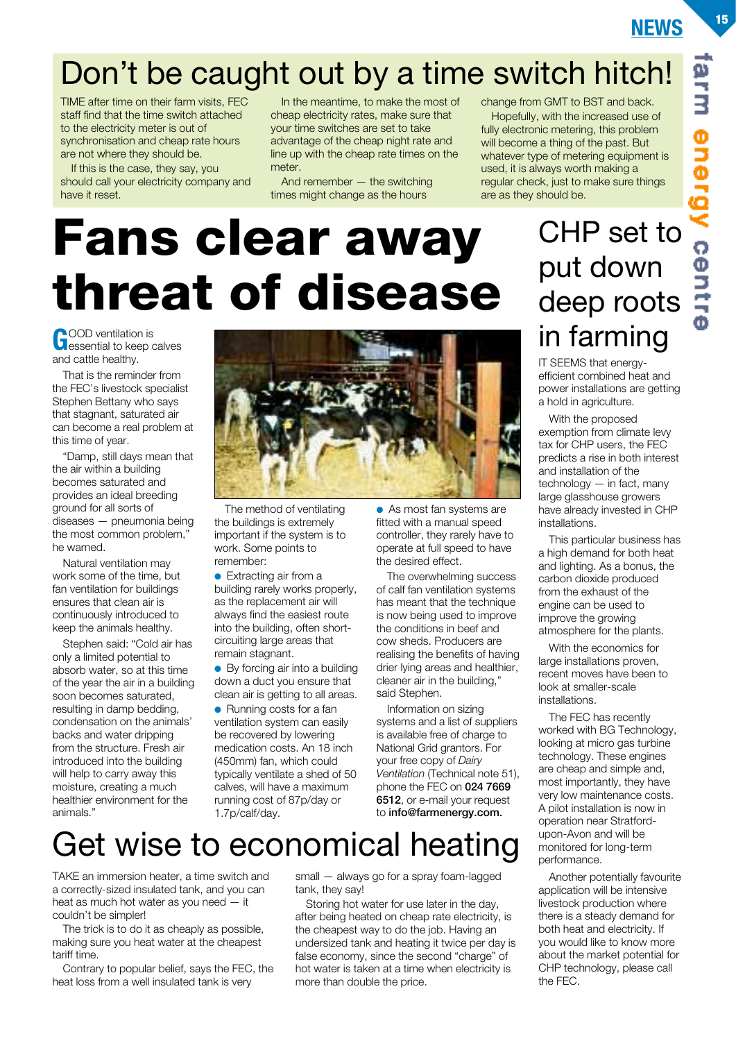### Don't be caught out by a time switch hitch!

TIME after time on their farm visits, FEC staff find that the time switch attached to the electricity meter is out of synchronisation and cheap rate hours are not where they should be.

If this is the case, they say, you should call your electricity company and have it reset.

In the meantime, to make the most of cheap electricity rates, make sure that your time switches are set to take advantage of the cheap night rate and line up with the cheap rate times on the meter.

And remember — the switching times might change as the hours

change from GMT to BST and back. Hopefully, with the increased use of fully electronic metering, this problem will become a thing of the past. But whatever type of metering equipment is used, it is always worth making a regular check, just to make sure things are as they should be.

## **Fans clear away threat of disease**

**G**OOD ventilation is<br> **C**essential to keep calves and cattle healthy.

That is the reminder from the FEC's livestock specialist Stephen Bettany who says that stagnant, saturated air can become a real problem at this time of year.

"Damp, still days mean that the air within a building becomes saturated and provides an ideal breeding ground for all sorts of diseases — pneumonia being the most common problem," he warned.

Natural ventilation may work some of the time, but fan ventilation for buildings ensures that clean air is continuously introduced to keep the animals healthy.

Stephen said: "Cold air has only a limited potential to absorb water, so at this time of the year the air in a building soon becomes saturated, resulting in damp bedding, condensation on the animals' backs and water dripping from the structure. Fresh air introduced into the building will help to carry away this moisture, creating a much healthier environment for the animals."



The method of ventilating the buildings is extremely important if the system is to work. Some points to remember:

● Extracting air from a building rarely works properly, as the replacement air will always find the easiest route into the building, often shortcircuiting large areas that remain stagnant.

 $\bullet$  By forcing air into a building down a duct you ensure that clean air is getting to all areas.

● Running costs for a fan ventilation system can easily be recovered by lowering medication costs. An 18 inch (450mm) fan, which could typically ventilate a shed of 50 calves, will have a maximum running cost of 87p/day or 1.7p/calf/day.

● As most fan systems are fitted with a manual speed controller, they rarely have to operate at full speed to have the desired effect.

The overwhelming success of calf fan ventilation systems has meant that the technique is now being used to improve the conditions in beef and cow sheds. Producers are realising the benefits of having drier lying areas and healthier, cleaner air in the building," said Stephen.

Information on sizing systems and a list of suppliers is available free of charge to National Grid grantors. For your free copy of *Dairy Ventilation* (Technical note 51), phone the FEC on **024 7669 6512**, or e-mail your request to **info@farmenergy.com.**

### CHP set to put down deep roots in farming

IT SEEMS that energyefficient combined heat and power installations are getting a hold in agriculture.

With the proposed exemption from climate levy tax for CHP users, the FEC predicts a rise in both interest and installation of the technology — in fact, many large glasshouse growers have already invested in CHP installations.

This particular business has a high demand for both heat and lighting. As a bonus, the carbon dioxide produced from the exhaust of the engine can be used to improve the growing atmosphere for the plants.

With the economics for large installations proven, recent moves have been to look at smaller-scale installations.

The FEC has recently worked with BG Technology, looking at micro gas turbine technology. These engines are cheap and simple and, most importantly, they have very low maintenance costs. A pilot installation is now in operation near Stratfordupon-Avon and will be monitored for long-term performance.

Another potentially favourite application will be intensive livestock production where there is a steady demand for both heat and electricity. If you would like to know more about the market potential for CHP technology, please call the FEC.

## Get wise to economical heating

TAKE an immersion heater, a time switch and a correctly-sized insulated tank, and you can heat as much hot water as you need — it couldn't be simpler!

The trick is to do it as cheaply as possible, making sure you heat water at the cheapest tariff time.

Contrary to popular belief, says the FEC, the heat loss from a well insulated tank is very

small — always go for a spray foam-lagged tank, they say!

Storing hot water for use later in the day, after being heated on cheap rate electricity, is the cheapest way to do the job. Having an undersized tank and heating it twice per day is false economy, since the second "charge" of hot water is taken at a time when electricity is more than double the price.